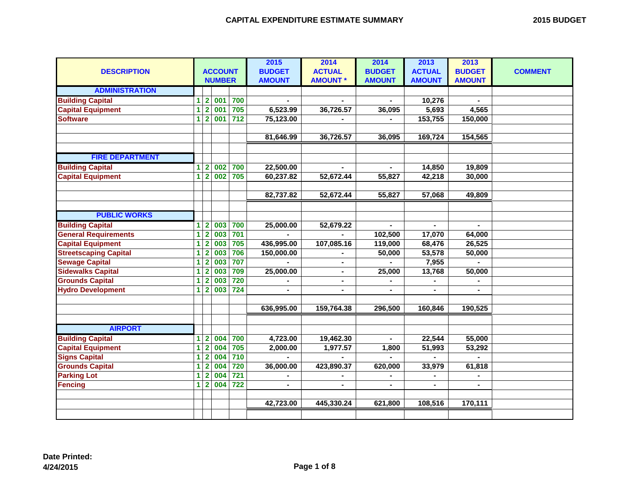|  | <b>2015 BUDGET</b> |
|--|--------------------|
|--|--------------------|

|   |                         |                                |                                                             | 2015                                                                                   | 2014                              | 2014                  | 2013           | 2013                       |                  |
|---|-------------------------|--------------------------------|-------------------------------------------------------------|----------------------------------------------------------------------------------------|-----------------------------------|-----------------------|----------------|----------------------------|------------------|
|   |                         |                                |                                                             | <b>BUDGET</b>                                                                          | <b>ACTUAL</b>                     | <b>BUDGET</b>         | <b>ACTUAL</b>  | <b>BUDGET</b>              | <b>COMMENT</b>   |
|   |                         |                                |                                                             | <b>AMOUNT</b>                                                                          | <b>AMOUNT *</b>                   | <b>AMOUNT</b>         | <b>AMOUNT</b>  | <b>AMOUNT</b>              |                  |
|   |                         |                                |                                                             |                                                                                        |                                   |                       |                |                            |                  |
| 1 | $\overline{2}$          |                                | 700                                                         |                                                                                        |                                   |                       | 10,276         |                            |                  |
| 1 | $\overline{2}$          |                                | 705                                                         | 6,523.99                                                                               | 36,726.57                         | 36,095                | 5,693          | 4,565                      |                  |
| 1 | $\overline{2}$          |                                | $712$                                                       | 75,123.00                                                                              |                                   |                       | 153,755        | 150,000                    |                  |
|   |                         |                                |                                                             |                                                                                        |                                   |                       |                |                            |                  |
|   |                         |                                |                                                             | 81,646.99                                                                              | 36,726.57                         | 36,095                | 169,724        | 154,565                    |                  |
|   |                         |                                |                                                             |                                                                                        |                                   |                       |                |                            |                  |
|   |                         |                                |                                                             |                                                                                        |                                   |                       |                |                            |                  |
| 1 | $\overline{2}$          | 002                            |                                                             |                                                                                        | $\blacksquare$                    | $\blacksquare$        |                | 19,809                     |                  |
| 1 |                         |                                | 705                                                         | 60,237.82                                                                              | 52,672.44                         | 55,827                | 42,218         | 30,000                     |                  |
|   |                         |                                |                                                             |                                                                                        |                                   |                       |                |                            |                  |
|   |                         |                                |                                                             | 82,737.82                                                                              | 52,672.44                         | 55,827                | 57,068         | 49,809                     |                  |
|   |                         |                                |                                                             |                                                                                        |                                   |                       |                |                            |                  |
|   |                         |                                |                                                             |                                                                                        |                                   |                       |                |                            |                  |
| 1 | $\overline{2}$          | 003                            | 700                                                         | 25,000.00                                                                              | 52,679.22                         | $\blacksquare$        | $\blacksquare$ | $\blacksquare$             |                  |
| 1 | $\overline{2}$          |                                | 701                                                         |                                                                                        | ä,                                | 102,500               | 17,070         | 64,000                     |                  |
| 1 | $\mathbf{2}$            |                                | 705                                                         | 436,995.00                                                                             | 107,085.16                        | 119,000               | 68,476         | 26,525                     |                  |
| 1 | $\overline{2}$          | 003                            | 706                                                         | 150,000.00                                                                             |                                   | 50,000                | 53,578         | 50,000                     |                  |
| 1 | $\overline{2}$          | 003                            | 707                                                         |                                                                                        | $\blacksquare$                    |                       | 7,955          |                            |                  |
| 1 | $\mathbf{2}$            | 003                            | 709                                                         | 25,000.00                                                                              | $\blacksquare$                    | 25,000                | 13,768         | 50,000                     |                  |
| 1 | $\overline{2}$          | 003                            | 720                                                         |                                                                                        | $\blacksquare$                    | $\blacksquare$        |                |                            |                  |
| 1 | $\mathbf{2}$            | 003                            | 724                                                         |                                                                                        | $\blacksquare$                    | $\blacksquare$        |                |                            |                  |
|   |                         |                                |                                                             |                                                                                        |                                   |                       |                |                            |                  |
|   |                         |                                |                                                             | 636,995.00                                                                             | 159,764.38                        | 296,500               | 160,846        | 190,525                    |                  |
|   |                         |                                |                                                             |                                                                                        |                                   |                       |                |                            |                  |
|   |                         |                                |                                                             |                                                                                        |                                   |                       |                |                            |                  |
| 1 | $\overline{\mathbf{2}}$ |                                |                                                             |                                                                                        |                                   |                       |                |                            |                  |
| 1 | $\overline{2}$          | 004                            |                                                             |                                                                                        |                                   |                       |                |                            |                  |
| 1 | $\overline{2}$          | 004                            |                                                             |                                                                                        | $\blacksquare$                    |                       |                | $\overline{a}$             |                  |
| 1 | $\overline{2}$          |                                |                                                             | 36,000.00                                                                              | 423,890.37                        | 620,000               | 33,979         | 61,818                     |                  |
| 1 | $\overline{2}$          | 004                            |                                                             |                                                                                        | $\blacksquare$                    | $\blacksquare$        | $\blacksquare$ | $\blacksquare$             |                  |
| 1 |                         |                                | 722                                                         | $\blacksquare$                                                                         | $\blacksquare$                    | Ξ.                    | $\blacksquare$ | ۰                          |                  |
|   |                         |                                |                                                             |                                                                                        |                                   |                       |                |                            |                  |
|   |                         |                                |                                                             | 42,723.00                                                                              | 445,330.24                        | 621,800               | 108,516        | 170,111                    |                  |
|   |                         |                                |                                                             |                                                                                        |                                   |                       |                |                            |                  |
|   |                         | $\overline{2}$<br>$\mathbf{2}$ | 001<br>001<br>001<br>002<br>003<br>003<br>004<br>004<br>004 | <b>ACCOUNT</b><br><b>NUMBER</b><br>700<br>700<br>705<br>710<br>720<br>$\overline{721}$ | 22,500.00<br>4,723.00<br>2,000.00 | 19,462.30<br>1,977.57 | 1,800          | 14,850<br>22,544<br>51,993 | 55,000<br>53,292 |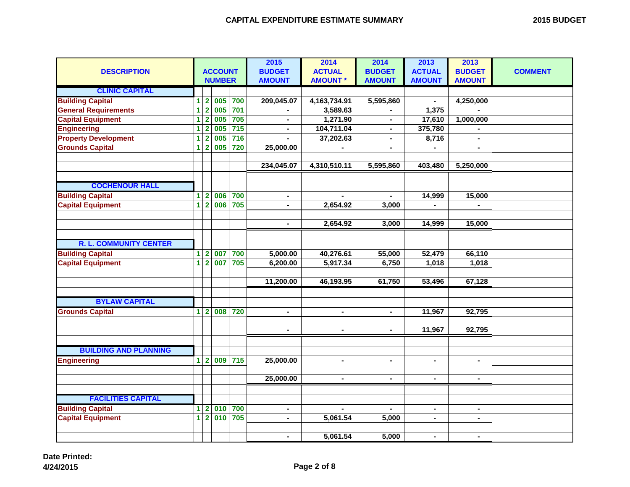| <b>DESCRIPTION</b>            |                         |                         | <b>ACCOUNT</b><br><b>NUMBER</b> |                  | 2015<br><b>BUDGET</b><br><b>AMOUNT</b> | 2014<br><b>ACTUAL</b><br><b>AMOUNT *</b> | 2014<br><b>BUDGET</b><br><b>AMOUNT</b> | 2013<br><b>ACTUAL</b><br><b>AMOUNT</b> | 2013<br><b>BUDGET</b><br><b>AMOUNT</b> | <b>COMMENT</b> |
|-------------------------------|-------------------------|-------------------------|---------------------------------|------------------|----------------------------------------|------------------------------------------|----------------------------------------|----------------------------------------|----------------------------------------|----------------|
| <b>CLINIC CAPITAL</b>         |                         |                         |                                 |                  |                                        |                                          |                                        |                                        |                                        |                |
| <b>Building Capital</b>       | $\overline{\mathbf{1}}$ | $\overline{\mathbf{2}}$ | 005                             | 700              | 209,045.07                             | 4,163,734.91                             | 5,595,860                              |                                        | 4,250,000                              |                |
| <b>General Requirements</b>   | $\overline{1}$          | $\overline{2}$          | 005                             | 701              | $\blacksquare$                         | 3,589.63                                 |                                        | 1,375                                  |                                        |                |
| <b>Capital Equipment</b>      | $\overline{1}$          | $\overline{2}$          | 005                             | 705              | ÷                                      | 1,271.90                                 | $\blacksquare$                         | 17,610                                 | 1,000,000                              |                |
| <b>Engineering</b>            | $\overline{\mathbf{1}}$ | $\overline{2}$          | 005                             | $\overline{715}$ | $\blacksquare$                         | 104,711.04                               | $\blacksquare$                         | 375,780                                | $\blacksquare$                         |                |
| <b>Property Development</b>   | $\overline{\mathbf{1}}$ | $\overline{2}$          | 005                             | 716              |                                        | 37,202.63                                |                                        | 8,716                                  |                                        |                |
| <b>Grounds Capital</b>        | $\overline{1}$          | $\overline{2}$          | 005                             | 720              | 25,000.00                              |                                          | $\blacksquare$                         |                                        | $\blacksquare$                         |                |
|                               |                         |                         |                                 |                  |                                        |                                          |                                        |                                        |                                        |                |
|                               |                         |                         |                                 |                  | 234,045.07                             | 4,310,510.11                             | 5,595,860                              | 403,480                                | 5,250,000                              |                |
|                               |                         |                         |                                 |                  |                                        |                                          |                                        |                                        |                                        |                |
| <b>COCHENOUR HALL</b>         |                         |                         |                                 |                  |                                        |                                          |                                        |                                        |                                        |                |
| <b>Building Capital</b>       | $\overline{\mathbf{1}}$ | $\overline{2}$          | 006                             | 700              | $\blacksquare$                         |                                          |                                        | 14,999                                 | 15,000                                 |                |
| <b>Capital Equipment</b>      | $\overline{1}$          | $\overline{2}$          | 006                             | 705              |                                        | 2,654.92                                 | 3,000                                  |                                        |                                        |                |
|                               |                         |                         |                                 |                  |                                        |                                          |                                        |                                        |                                        |                |
|                               |                         |                         |                                 |                  | $\blacksquare$                         | 2,654.92                                 | 3,000                                  | 14,999                                 | 15,000                                 |                |
|                               |                         |                         |                                 |                  |                                        |                                          |                                        |                                        |                                        |                |
| <b>R. L. COMMUNITY CENTER</b> |                         |                         |                                 |                  |                                        |                                          |                                        |                                        |                                        |                |
| <b>Building Capital</b>       | $\overline{\mathbf{1}}$ | $\overline{\mathbf{2}}$ | 007                             | 700              | 5,000.00                               | 40,276.61                                | 55,000                                 | 52,479                                 | 66,110                                 |                |
| <b>Capital Equipment</b>      | $\overline{1}$          | $\overline{2}$          | 007                             | 705              | 6,200.00                               | 5,917.34                                 | 6,750                                  | 1,018                                  | 1,018                                  |                |
|                               |                         |                         |                                 |                  |                                        |                                          |                                        |                                        |                                        |                |
|                               |                         |                         |                                 |                  | 11,200.00                              | 46,193.95                                | 61,750                                 | 53,496                                 | 67,128                                 |                |
|                               |                         |                         |                                 |                  |                                        |                                          |                                        |                                        |                                        |                |
| <b>BYLAW CAPITAL</b>          |                         |                         |                                 |                  |                                        |                                          |                                        |                                        |                                        |                |
| <b>Grounds Capital</b>        | $\blacktriangleleft$    | $\overline{2}$          | 008                             | 720              | $\blacksquare$                         | $\blacksquare$                           | $\blacksquare$                         | 11,967                                 | 92,795                                 |                |
|                               |                         |                         |                                 |                  |                                        |                                          |                                        |                                        |                                        |                |
|                               |                         |                         |                                 |                  |                                        |                                          |                                        | 11,967                                 | 92,795                                 |                |
|                               |                         |                         |                                 |                  |                                        |                                          |                                        |                                        |                                        |                |
| <b>BUILDING AND PLANNING</b>  |                         |                         |                                 |                  |                                        |                                          |                                        |                                        |                                        |                |
| <b>Engineering</b>            | $\mathbf{1}$            | $\overline{2}$          | 009                             | 715              | 25,000.00                              | $\blacksquare$                           | $\blacksquare$                         | L.                                     | $\blacksquare$                         |                |
|                               |                         |                         |                                 |                  |                                        |                                          |                                        |                                        |                                        |                |
|                               |                         |                         |                                 |                  | 25,000.00                              | $\blacksquare$                           | $\blacksquare$                         | $\blacksquare$                         | $\blacksquare$                         |                |
|                               |                         |                         |                                 |                  |                                        |                                          |                                        |                                        |                                        |                |
| <b>FACILITIES CAPITAL</b>     |                         |                         |                                 |                  |                                        |                                          |                                        |                                        |                                        |                |
| <b>Building Capital</b>       | $\overline{\mathbf{1}}$ | $\overline{\mathbf{2}}$ | 010                             | 700              | $\blacksquare$                         | $\blacksquare$                           | $\blacksquare$                         | $\blacksquare$                         | $\blacksquare$                         |                |
| <b>Capital Equipment</b>      | $\overline{1}$          | $\overline{2}$          | 010                             | 705              | ÷                                      | 5,061.54                                 | 5,000                                  | ÷,                                     | $\blacksquare$                         |                |
|                               |                         |                         |                                 |                  | $\blacksquare$                         | 5,061.54                                 | 5,000                                  | $\overline{\phantom{0}}$               | $\blacksquare$                         |                |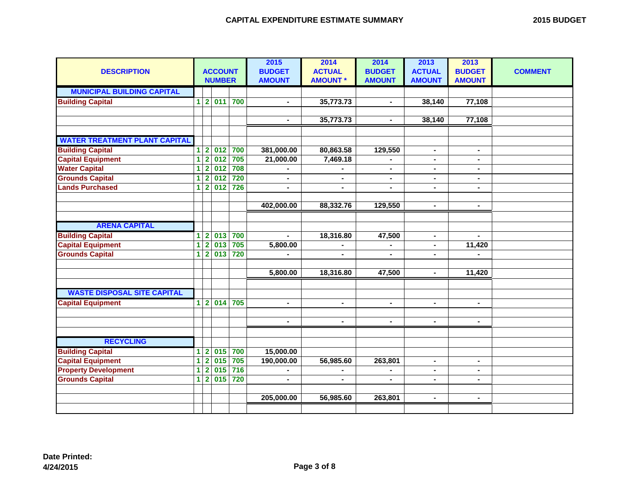| <b>DESCRIPTION</b>                   |                 |                         | <b>ACCOUNT</b><br><b>NUMBER</b> |     | 2015<br><b>BUDGET</b><br><b>AMOUNT</b> | 2014<br><b>ACTUAL</b><br><b>AMOUNT *</b> | 2014<br><b>BUDGET</b><br><b>AMOUNT</b> | 2013<br><b>ACTUAL</b><br><b>AMOUNT</b> | 2013<br><b>BUDGET</b><br><b>AMOUNT</b> | <b>COMMENT</b> |
|--------------------------------------|-----------------|-------------------------|---------------------------------|-----|----------------------------------------|------------------------------------------|----------------------------------------|----------------------------------------|----------------------------------------|----------------|
| <b>MUNICIPAL BUILDING CAPITAL</b>    |                 |                         |                                 |     |                                        |                                          |                                        |                                        |                                        |                |
| <b>Building Capital</b>              | $1\overline{2}$ |                         | 011                             | 700 | $\blacksquare$                         | 35,773.73                                | $\blacksquare$                         | 38,140                                 | 77,108                                 |                |
|                                      |                 |                         |                                 |     |                                        |                                          |                                        |                                        |                                        |                |
|                                      |                 |                         |                                 |     | $\blacksquare$                         | 35,773.73                                | $\blacksquare$                         | 38,140                                 | 77,108                                 |                |
|                                      |                 |                         |                                 |     |                                        |                                          |                                        |                                        |                                        |                |
| <b>WATER TREATMENT PLANT CAPITAL</b> |                 |                         |                                 |     |                                        |                                          |                                        |                                        |                                        |                |
| <b>Building Capital</b>              | $1\overline{2}$ |                         | 012                             | 700 | 381,000.00                             | 80,863.58                                | 129,550                                | ٠.                                     | $\blacksquare$                         |                |
| <b>Capital Equipment</b>             | 1               | $\overline{\mathbf{2}}$ | $\overline{012}$                | 705 | 21,000.00                              | 7,469.18                                 |                                        | $\blacksquare$                         | $\blacksquare$                         |                |
| <b>Water Capital</b>                 | 1               | $\overline{2}$          | 012                             | 708 |                                        |                                          | $\blacksquare$                         | ٠.                                     | $\blacksquare$                         |                |
| <b>Grounds Capital</b>               | 1               | $\overline{2}$          | 012                             | 720 | $\blacksquare$                         | $\blacksquare$                           | $\blacksquare$                         | $\blacksquare$                         | $\blacksquare$                         |                |
| <b>Lands Purchased</b>               | 1               | $\overline{2}$          | 012                             | 726 | $\blacksquare$                         | $\blacksquare$                           | $\blacksquare$                         | $\blacksquare$                         | $\blacksquare$                         |                |
|                                      |                 |                         |                                 |     |                                        |                                          |                                        |                                        |                                        |                |
|                                      |                 |                         |                                 |     | 402,000.00                             | 88,332.76                                | 129,550                                | $\blacksquare$                         | $\blacksquare$                         |                |
|                                      |                 |                         |                                 |     |                                        |                                          |                                        |                                        |                                        |                |
| <b>ARENA CAPITAL</b>                 |                 |                         |                                 |     |                                        |                                          |                                        |                                        |                                        |                |
| <b>Building Capital</b>              | 1               | $\mathbf{2}$            | 013                             | 700 | ÷,                                     | 18,316.80                                | 47,500                                 | $\blacksquare$                         | $\blacksquare$                         |                |
| <b>Capital Equipment</b>             | 1               | $\overline{2}$          | 013                             | 705 | 5,800.00                               | $\blacksquare$                           | $\blacksquare$                         | $\blacksquare$                         | 11,420                                 |                |
| <b>Grounds Capital</b>               | 1               | $\overline{2}$          | 013                             | 720 | $\blacksquare$                         |                                          |                                        | $\blacksquare$                         |                                        |                |
|                                      |                 |                         |                                 |     |                                        |                                          |                                        |                                        |                                        |                |
|                                      |                 |                         |                                 |     | 5,800.00                               | 18,316.80                                | 47,500                                 | $\blacksquare$                         | 11,420                                 |                |
|                                      |                 |                         |                                 |     |                                        |                                          |                                        |                                        |                                        |                |
| <b>WASTE DISPOSAL SITE CAPITAL</b>   |                 |                         |                                 |     |                                        |                                          |                                        |                                        |                                        |                |
| <b>Capital Equipment</b>             |                 | $1\vert 2$              | 014                             | 705 | $\blacksquare$                         | $\blacksquare$                           | $\blacksquare$                         | $\blacksquare$                         | $\blacksquare$                         |                |
|                                      |                 |                         |                                 |     |                                        |                                          |                                        |                                        |                                        |                |
|                                      |                 |                         |                                 |     | $\blacksquare$                         | $\blacksquare$                           | $\blacksquare$                         | $\blacksquare$                         | $\blacksquare$                         |                |
| <b>RECYCLING</b>                     |                 |                         |                                 |     |                                        |                                          |                                        |                                        |                                        |                |
| <b>Building Capital</b>              | 1               | $\overline{2}$          | 015                             | 700 | 15,000.00                              |                                          |                                        |                                        |                                        |                |
| <b>Capital Equipment</b>             | 1               | $\overline{2}$          | 015                             | 705 | 190,000.00                             | 56,985.60                                | 263,801                                | $\blacksquare$                         | $\blacksquare$                         |                |
| <b>Property Development</b>          | 1               | $\overline{\mathbf{2}}$ | 015                             | 716 | $\blacksquare$                         |                                          |                                        | ٠                                      | $\blacksquare$                         |                |
| <b>Grounds Capital</b>               | 1               | $\overline{2}$          | 015                             | 720 | $\blacksquare$                         |                                          |                                        |                                        |                                        |                |
|                                      |                 |                         |                                 |     |                                        |                                          |                                        |                                        |                                        |                |
|                                      |                 |                         |                                 |     | 205,000.00                             | 56,985.60                                | 263,801                                | $\blacksquare$                         | $\blacksquare$                         |                |
|                                      |                 |                         |                                 |     |                                        |                                          |                                        |                                        |                                        |                |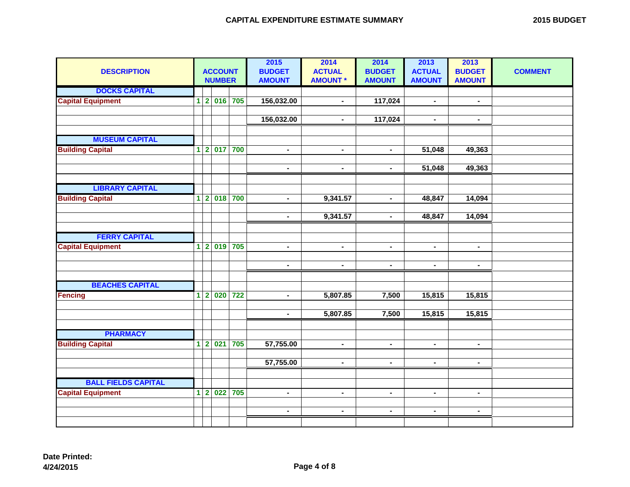| <b>2015 BUDGET</b> |  |
|--------------------|--|
|--------------------|--|

| <b>DESCRIPTION</b>         |                |                         | <b>ACCOUNT</b><br><b>NUMBER</b> |     | 2015<br><b>BUDGET</b><br><b>AMOUNT</b> | 2014<br><b>ACTUAL</b><br><b>AMOUNT*</b> | 2014<br><b>BUDGET</b><br><b>AMOUNT</b> | 2013<br><b>ACTUAL</b><br><b>AMOUNT</b> | 2013<br><b>BUDGET</b><br><b>AMOUNT</b> | <b>COMMENT</b> |
|----------------------------|----------------|-------------------------|---------------------------------|-----|----------------------------------------|-----------------------------------------|----------------------------------------|----------------------------------------|----------------------------------------|----------------|
| <b>DOCKS CAPITAL</b>       |                |                         |                                 |     |                                        |                                         |                                        |                                        |                                        |                |
| <b>Capital Equipment</b>   | $\mathbf{1}$   | $\overline{2}$          | 016                             | 705 | 156,032.00                             | $\blacksquare$                          | 117,024                                | $\blacksquare$                         | $\blacksquare$                         |                |
|                            |                |                         |                                 |     |                                        |                                         |                                        |                                        |                                        |                |
|                            |                |                         |                                 |     | 156,032.00                             | $\blacksquare$                          | 117,024                                | $\blacksquare$                         | $\blacksquare$                         |                |
| <b>MUSEUM CAPITAL</b>      |                |                         |                                 |     |                                        |                                         |                                        |                                        |                                        |                |
| <b>Building Capital</b>    | $\blacksquare$ | $\overline{\mathbf{2}}$ | 017                             | 700 | $\overline{\phantom{0}}$               | $\blacksquare$                          | $\blacksquare$                         | 51,048                                 | 49,363                                 |                |
|                            |                |                         |                                 |     |                                        |                                         |                                        |                                        |                                        |                |
|                            |                |                         |                                 |     | $\blacksquare$                         | $\blacksquare$                          | $\blacksquare$                         | 51,048                                 | 49,363                                 |                |
|                            |                |                         |                                 |     |                                        |                                         |                                        |                                        |                                        |                |
| <b>LIBRARY CAPITAL</b>     |                |                         |                                 |     |                                        |                                         |                                        |                                        |                                        |                |
| <b>Building Capital</b>    | $\overline{1}$ | $\overline{\mathbf{2}}$ | 018                             | 700 | $\overline{\phantom{0}}$               | 9,341.57                                | $\blacksquare$                         | 48,847                                 | 14,094                                 |                |
|                            |                |                         |                                 |     |                                        |                                         |                                        |                                        |                                        |                |
|                            |                |                         |                                 |     | $\overline{\phantom{0}}$               | 9,341.57                                | $\blacksquare$                         | 48,847                                 | 14,094                                 |                |
|                            |                |                         |                                 |     |                                        |                                         |                                        |                                        |                                        |                |
| <b>FERRY CAPITAL</b>       |                |                         |                                 |     |                                        |                                         |                                        |                                        |                                        |                |
| <b>Capital Equipment</b>   | $\mathbf 1$    | $\overline{\mathbf{2}}$ | 019                             | 705 | $\overline{\phantom{0}}$               | $\blacksquare$                          | $\blacksquare$                         | $\blacksquare$                         | $\blacksquare$                         |                |
|                            |                |                         |                                 |     |                                        |                                         |                                        |                                        |                                        |                |
|                            |                |                         |                                 |     | $\blacksquare$                         | $\blacksquare$                          | $\blacksquare$                         | $\blacksquare$                         | $\blacksquare$                         |                |
| <b>BEACHES CAPITAL</b>     |                |                         |                                 |     |                                        |                                         |                                        |                                        |                                        |                |
| <b>Fencing</b>             | $\overline{1}$ | $\overline{2}$          | 020                             | 722 | $\overline{\phantom{0}}$               | 5,807.85                                | 7,500                                  | 15,815                                 | 15,815                                 |                |
|                            |                |                         |                                 |     |                                        |                                         |                                        |                                        |                                        |                |
|                            |                |                         |                                 |     | ÷,                                     | 5,807.85                                | 7,500                                  | 15,815                                 | 15,815                                 |                |
|                            |                |                         |                                 |     |                                        |                                         |                                        |                                        |                                        |                |
| <b>PHARMACY</b>            |                |                         |                                 |     |                                        |                                         |                                        |                                        |                                        |                |
| <b>Building Capital</b>    | $\overline{1}$ | $\overline{2}$          | 021                             | 705 | 57,755.00                              | $\blacksquare$                          | $\blacksquare$                         | $\overline{\phantom{0}}$               | $\blacksquare$                         |                |
|                            |                |                         |                                 |     |                                        |                                         |                                        |                                        |                                        |                |
|                            |                |                         |                                 |     | 57,755.00                              | $\blacksquare$                          | $\blacksquare$                         | $\blacksquare$                         | $\blacksquare$                         |                |
| <b>BALL FIELDS CAPITAL</b> |                |                         |                                 |     |                                        |                                         |                                        |                                        |                                        |                |
| <b>Capital Equipment</b>   | $\vert$ 1      | $\vert$ 2               | $\overline{022}$                | 705 | $\overline{\phantom{0}}$               | $\blacksquare$                          | $\blacksquare$                         | $\blacksquare$                         | $\blacksquare$                         |                |
|                            |                |                         |                                 |     |                                        |                                         |                                        |                                        |                                        |                |
|                            |                |                         |                                 |     | $\overline{\phantom{0}}$               | $\blacksquare$                          | $\blacksquare$                         | $\blacksquare$                         | $\blacksquare$                         |                |
|                            |                |                         |                                 |     |                                        |                                         |                                        |                                        |                                        |                |
|                            |                |                         |                                 |     |                                        |                                         |                                        |                                        |                                        |                |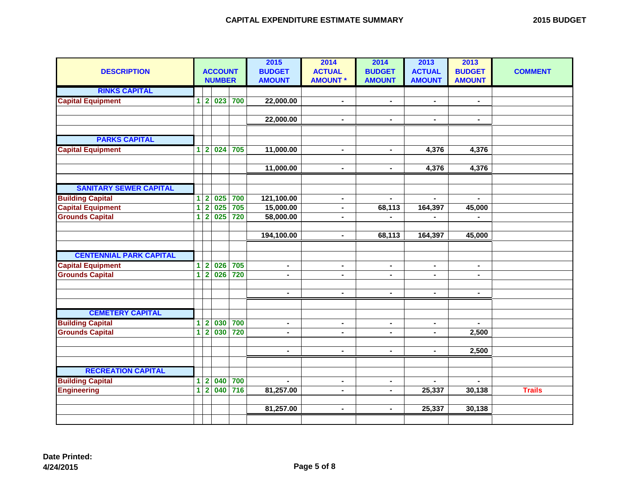|  | <b>2015 BUDGET</b> |
|--|--------------------|
|--|--------------------|

| <b>DESCRIPTION</b>                            |                |                                | <b>ACCOUNT</b><br><b>NUMBER</b> |     | 2015<br><b>BUDGET</b><br><b>AMOUNT</b> | 2014<br><b>ACTUAL</b><br><b>AMOUNT *</b> | 2014<br><b>BUDGET</b><br><b>AMOUNT</b> | 2013<br><b>ACTUAL</b><br><b>AMOUNT</b> | 2013<br><b>BUDGET</b><br><b>AMOUNT</b> | <b>COMMENT</b> |
|-----------------------------------------------|----------------|--------------------------------|---------------------------------|-----|----------------------------------------|------------------------------------------|----------------------------------------|----------------------------------------|----------------------------------------|----------------|
| <b>RINKS CAPITAL</b>                          |                |                                |                                 |     |                                        |                                          |                                        |                                        |                                        |                |
| <b>Capital Equipment</b>                      | $\mathbf{1}$   | $\overline{\mathbf{2}}$        | 023                             | 700 | 22,000.00                              | $\blacksquare$                           | $\sim$                                 | $\blacksquare$                         | $\blacksquare$                         |                |
|                                               |                |                                |                                 |     |                                        |                                          | ä,                                     | $\blacksquare$                         |                                        |                |
|                                               |                |                                |                                 |     | 22,000.00                              | $\blacksquare$                           |                                        |                                        | $\blacksquare$                         |                |
| <b>PARKS CAPITAL</b>                          |                |                                |                                 |     |                                        |                                          |                                        |                                        |                                        |                |
| <b>Capital Equipment</b>                      | 1              | $\mathbf{2}$                   | 024                             | 705 | 11,000.00                              | $\blacksquare$                           | $\blacksquare$                         | 4,376                                  | 4,376                                  |                |
|                                               |                |                                |                                 |     |                                        |                                          |                                        |                                        |                                        |                |
|                                               |                |                                |                                 |     | 11,000.00                              | $\blacksquare$                           | $\blacksquare$                         | 4,376                                  | 4,376                                  |                |
|                                               |                |                                |                                 |     |                                        |                                          |                                        |                                        |                                        |                |
| <b>SANITARY SEWER CAPITAL</b>                 |                |                                |                                 |     |                                        |                                          |                                        |                                        |                                        |                |
| <b>Building Capital</b>                       |                | 1 2                            | 025                             | 700 | 121,100.00                             | $\blacksquare$                           | $\mathbf{r}$                           | $\mathbf{r}$                           | $\mathbf{r}$                           |                |
| <b>Capital Equipment</b>                      | $\overline{1}$ | $\overline{2}$                 | 025                             | 705 | 15,000.00                              | $\blacksquare$                           | 68,113                                 | 164,397                                | 45,000                                 |                |
| <b>Grounds Capital</b>                        | 1              | $\overline{2}$                 | 025                             | 720 | 58,000.00                              | $\blacksquare$                           |                                        | $\blacksquare$                         | $\blacksquare$                         |                |
|                                               |                |                                |                                 |     |                                        |                                          |                                        |                                        |                                        |                |
|                                               |                |                                |                                 |     | 194,100.00                             | $\blacksquare$                           | 68,113                                 | 164,397                                | 45,000                                 |                |
|                                               |                |                                |                                 |     |                                        |                                          |                                        |                                        |                                        |                |
| <b>CENTENNIAL PARK CAPITAL</b>                |                |                                |                                 |     |                                        |                                          |                                        |                                        |                                        |                |
| <b>Capital Equipment</b>                      | 1              | $\overline{2}$                 | 026                             | 705 | ٠                                      | $\blacksquare$                           | $\blacksquare$                         | $\blacksquare$                         | $\blacksquare$                         |                |
| <b>Grounds Capital</b>                        | $\overline{1}$ | $\overline{\mathbf{2}}$        | $\overline{026}$                | 720 | $\blacksquare$                         | $\blacksquare$                           | $\blacksquare$                         | $\blacksquare$                         | $\blacksquare$                         |                |
|                                               |                |                                |                                 |     |                                        |                                          |                                        |                                        |                                        |                |
|                                               |                |                                |                                 |     | $\blacksquare$                         | $\blacksquare$                           | $\blacksquare$                         | $\blacksquare$                         | $\blacksquare$                         |                |
|                                               |                |                                |                                 |     |                                        |                                          |                                        |                                        |                                        |                |
| <b>CEMETERY CAPITAL</b>                       |                |                                |                                 |     |                                        |                                          |                                        |                                        |                                        |                |
| <b>Building Capital</b>                       | 1              | $\mathbf{2}$                   | 030                             | 700 | $\blacksquare$                         | $\blacksquare$                           | $\blacksquare$                         | $\blacksquare$                         | $\blacksquare$                         |                |
| <b>Grounds Capital</b>                        | $\overline{1}$ | $\overline{\mathbf{2}}$        | 030                             | 720 | $\blacksquare$                         | -                                        | $\blacksquare$                         | $\blacksquare$                         | 2,500                                  |                |
|                                               |                |                                |                                 |     |                                        |                                          |                                        |                                        |                                        |                |
|                                               |                |                                |                                 |     | $\blacksquare$                         | $\blacksquare$                           | $\blacksquare$                         | $\blacksquare$                         | 2,500                                  |                |
|                                               |                |                                |                                 |     |                                        |                                          |                                        |                                        |                                        |                |
| <b>RECREATION CAPITAL</b>                     |                |                                | 040                             | 700 | $\blacksquare$                         |                                          |                                        | $\blacksquare$                         | $\blacksquare$                         |                |
| <b>Building Capital</b><br><b>Engineering</b> |                | $1 \vert 2$<br>$1\overline{2}$ | $\overline{040}$                | 716 | 81,257.00                              | $\blacksquare$<br>$\blacksquare$         | $\blacksquare$<br>$\blacksquare$       |                                        | 30,138                                 | <b>Trails</b>  |
|                                               |                |                                |                                 |     |                                        |                                          |                                        | 25,337                                 |                                        |                |
|                                               |                |                                |                                 |     | 81,257.00                              | $\blacksquare$                           | $\blacksquare$                         | 25,337                                 | 30,138                                 |                |
|                                               |                |                                |                                 |     |                                        |                                          |                                        |                                        |                                        |                |
|                                               |                |                                |                                 |     |                                        |                                          |                                        |                                        |                                        |                |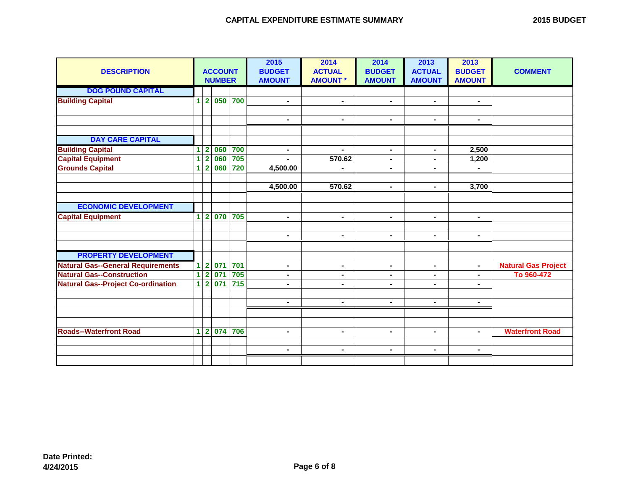| <b>DESCRIPTION</b>                        | <b>ACCOUNT</b><br><b>NUMBER</b> |                         |                  |                  | 2015<br><b>BUDGET</b><br><b>AMOUNT</b> | 2014<br><b>ACTUAL</b><br><b>AMOUNT*</b> | 2014<br><b>BUDGET</b><br><b>AMOUNT</b> | 2013<br><b>ACTUAL</b><br><b>AMOUNT</b> | 2013<br><b>BUDGET</b><br><b>AMOUNT</b> | <b>COMMENT</b>             |
|-------------------------------------------|---------------------------------|-------------------------|------------------|------------------|----------------------------------------|-----------------------------------------|----------------------------------------|----------------------------------------|----------------------------------------|----------------------------|
| <b>DOG POUND CAPITAL</b>                  |                                 |                         |                  |                  |                                        |                                         |                                        |                                        |                                        |                            |
| <b>Building Capital</b>                   | 1                               | $\overline{\mathbf{2}}$ | 050              | 700              | $\blacksquare$                         | $\blacksquare$                          | $\blacksquare$                         | $\blacksquare$                         | $\blacksquare$                         |                            |
|                                           |                                 |                         |                  |                  |                                        |                                         |                                        |                                        |                                        |                            |
|                                           |                                 |                         |                  |                  | $\blacksquare$                         | $\blacksquare$                          | $\blacksquare$                         | $\blacksquare$                         | $\sim$                                 |                            |
|                                           |                                 |                         |                  |                  |                                        |                                         |                                        |                                        |                                        |                            |
| <b>DAY CARE CAPITAL</b>                   |                                 |                         |                  |                  |                                        |                                         |                                        |                                        |                                        |                            |
| <b>Building Capital</b>                   | 1                               | $\overline{\mathbf{2}}$ | 060              | 700              | $\blacksquare$                         | $\blacksquare$                          | $\blacksquare$                         | $\blacksquare$                         | 2,500                                  |                            |
| <b>Capital Equipment</b>                  | 1                               | $\overline{\mathbf{2}}$ | 060              | 705              | $\blacksquare$                         | 570.62                                  | $\blacksquare$                         | $\blacksquare$                         | 1,200                                  |                            |
| <b>Grounds Capital</b>                    | 1                               | $\overline{2}$          | 060              | 720              | 4,500.00                               |                                         | ۰                                      |                                        |                                        |                            |
|                                           |                                 |                         |                  |                  |                                        |                                         |                                        |                                        |                                        |                            |
|                                           |                                 |                         |                  |                  | 4,500.00                               | 570.62                                  | $\blacksquare$                         | $\blacksquare$                         | 3,700                                  |                            |
|                                           |                                 |                         |                  |                  |                                        |                                         |                                        |                                        |                                        |                            |
| <b>ECONOMIC DEVELOPMENT</b>               |                                 |                         |                  |                  |                                        |                                         |                                        |                                        |                                        |                            |
| <b>Capital Equipment</b>                  | 1                               | $\overline{\mathbf{2}}$ | $\overline{070}$ | 705              | $\blacksquare$                         | $\blacksquare$                          | $\blacksquare$                         | $\blacksquare$                         | $\blacksquare$                         |                            |
|                                           |                                 |                         |                  |                  |                                        |                                         |                                        |                                        |                                        |                            |
|                                           |                                 |                         |                  |                  | $\blacksquare$                         | $\blacksquare$                          | $\blacksquare$                         | $\blacksquare$                         | $\sim$                                 |                            |
| <b>PROPERTY DEVELOPMENT</b>               |                                 |                         |                  |                  |                                        |                                         |                                        |                                        |                                        |                            |
| <b>Natural Gas--General Requirements</b>  |                                 | $\overline{\mathbf{2}}$ | 071              | 701              |                                        |                                         |                                        |                                        |                                        | <b>Natural Gas Project</b> |
| <b>Natural Gas--Construction</b>          | 1<br>$\overline{1}$             | $\overline{\mathbf{2}}$ | 071              | 705              | $\blacksquare$<br>$\blacksquare$       | $\blacksquare$<br>$\blacksquare$        | ۰<br>$\blacksquare$                    | $\blacksquare$<br>$\blacksquare$       | $\blacksquare$<br>۰.                   | To 960-472                 |
| <b>Natural Gas--Project Co-ordination</b> |                                 | $1\overline{2}$         | 071              | $\overline{715}$ | $\overline{a}$                         | $\blacksquare$                          | $\blacksquare$                         | $\blacksquare$                         | $\blacksquare$                         |                            |
|                                           |                                 |                         |                  |                  |                                        |                                         |                                        |                                        |                                        |                            |
|                                           |                                 |                         |                  |                  | $\blacksquare$                         | $\blacksquare$                          | $\blacksquare$                         | $\blacksquare$                         | $\blacksquare$                         |                            |
|                                           |                                 |                         |                  |                  |                                        |                                         |                                        |                                        |                                        |                            |
|                                           |                                 |                         |                  |                  |                                        |                                         |                                        |                                        |                                        |                            |
| <b>Roads--Waterfront Road</b>             |                                 | $1\overline{2}$         | 074              | 706              | $\blacksquare$                         | $\blacksquare$                          | $\blacksquare$                         | $\blacksquare$                         | $\blacksquare$                         | <b>Waterfront Road</b>     |
|                                           |                                 |                         |                  |                  |                                        |                                         |                                        |                                        |                                        |                            |
|                                           |                                 |                         |                  |                  | $\blacksquare$                         | $\blacksquare$                          | $\blacksquare$                         | $\blacksquare$                         | $\blacksquare$                         |                            |
|                                           |                                 |                         |                  |                  |                                        |                                         |                                        |                                        |                                        |                            |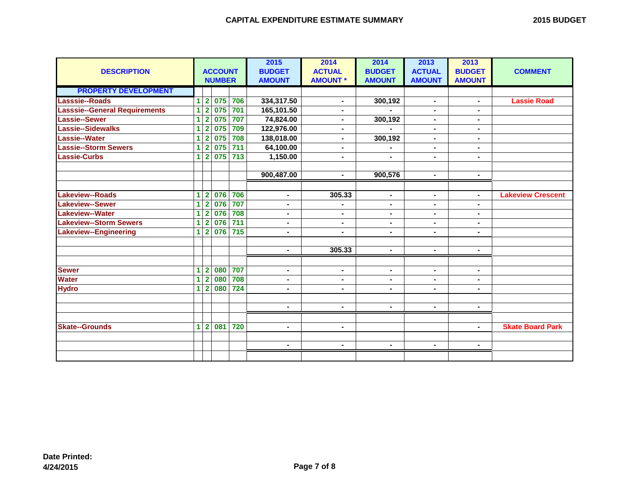|  | <b>2015 BUDGET</b> |
|--|--------------------|
|--|--------------------|

| <b>DESCRIPTION</b>                   |                         | <b>ACCOUNT</b> |     |       | 2015<br><b>BUDGET</b> | 2014<br><b>ACTUAL</b> | 2014<br><b>BUDGET</b> | 2013<br><b>ACTUAL</b> | 2013<br><b>BUDGET</b> | <b>COMMENT</b>           |
|--------------------------------------|-------------------------|----------------|-----|-------|-----------------------|-----------------------|-----------------------|-----------------------|-----------------------|--------------------------|
|                                      |                         | <b>NUMBER</b>  |     |       | <b>AMOUNT</b>         | <b>AMOUNT *</b>       | <b>AMOUNT</b>         | <b>AMOUNT</b>         | <b>AMOUNT</b>         |                          |
| <b>PROPERTY DEVELOPMENT</b>          |                         |                |     |       |                       |                       |                       |                       |                       |                          |
| Lasssie--Roads                       | 1                       | $\overline{2}$ | 075 | 706   | 334,317.50            | $\blacksquare$        | 300,192               | $\blacksquare$        |                       | <b>Lassie Road</b>       |
| <b>Lasssie--General Requirements</b> | 1                       | $\overline{2}$ | 075 | 701   | 165,101.50            | ÷                     |                       | $\blacksquare$        | $\blacksquare$        |                          |
| Lassie--Sewer                        | 1                       | $\overline{2}$ | 075 | 707   | 74,824.00             | Ξ.                    | 300,192               | ٠.                    |                       |                          |
| Lassie--Sidewalks                    | 1                       | $\overline{2}$ | 075 | 709   | 122,976.00            | $\blacksquare$        |                       | $\blacksquare$        | ۰.                    |                          |
| <b>Lassie--Water</b>                 | 1                       | $\mathbf{2}$   | 075 | 708   | 138,018.00            | Ξ.                    | 300,192               | $\blacksquare$        | Ξ.                    |                          |
| <b>Lassie--Storm Sewers</b>          | 1                       | $\overline{2}$ | 075 | 711   | 64,100.00             | ÷                     |                       | $\blacksquare$        |                       |                          |
| <b>Lassie-Curbs</b>                  | 1                       | $\mathbf{2}$   | 075 | 713   | 1,150.00              | ۰                     | ۰                     | ۰.                    | ۰                     |                          |
|                                      |                         |                |     |       |                       |                       |                       |                       |                       |                          |
|                                      |                         |                |     |       | 900,487.00            | $\blacksquare$        | 900,576               | $\blacksquare$        |                       |                          |
|                                      |                         |                |     |       |                       |                       |                       |                       |                       |                          |
| <b>Lakeview--Roads</b>               | 1                       | $\overline{2}$ | 076 | 706   | $\blacksquare$        | 305.33                | ۰                     | $\blacksquare$        | ۰                     | <b>Lakeview Crescent</b> |
| <b>Lakeview--Sewer</b>               | 1                       | $\overline{2}$ | 076 | 707   | $\blacksquare$        | -                     | $\blacksquare$        | $\blacksquare$        |                       |                          |
| Lakeview--Water                      | 1                       | $\overline{2}$ | 076 | 708   | $\blacksquare$        | Ξ.                    | $\blacksquare$        | ٠.                    | Ξ.                    |                          |
| <b>Lakeview--Storm Sewers</b>        | 1                       | $\overline{2}$ | 076 | $711$ | $\blacksquare$        | ۰                     | $\blacksquare$        | $\blacksquare$        | ۰.                    |                          |
| Lakeview--Engineering                | $\overline{\mathbf{1}}$ | $\overline{2}$ | 076 | $715$ | $\blacksquare$        | -                     | $\blacksquare$        |                       | $\blacksquare$        |                          |
|                                      |                         |                |     |       |                       |                       |                       |                       |                       |                          |
|                                      |                         |                |     |       | $\blacksquare$        | 305.33                | $\blacksquare$        | $\sim$                | Ξ.                    |                          |
|                                      |                         |                |     |       |                       |                       |                       |                       |                       |                          |
| <b>Sewer</b>                         | 1                       | $\overline{2}$ | 080 | 707   | $\blacksquare$        | ۰                     | $\blacksquare$        | $\blacksquare$        | Ξ.                    |                          |
| <b>Water</b>                         | $\overline{\mathbf{1}}$ | $\overline{2}$ | 080 | 708   | $\blacksquare$        | $\blacksquare$        | $\blacksquare$        | ٠.                    | ۰.                    |                          |
| <b>Hydro</b>                         | 1                       | $\overline{2}$ | 080 | 724   | $\blacksquare$        | $\blacksquare$        | $\blacksquare$        | $\blacksquare$        | $\blacksquare$        |                          |
|                                      |                         |                |     |       |                       |                       |                       |                       |                       |                          |
|                                      |                         |                |     |       | $\blacksquare$        | $\blacksquare$        | $\blacksquare$        | $\blacksquare$        | Ξ.                    |                          |
|                                      |                         |                |     |       |                       |                       |                       |                       |                       |                          |
| <b>Skate--Grounds</b>                | 1                       | $\mathbf{2}$   | 081 | 720   | $\blacksquare$        | $\blacksquare$        |                       |                       | ۰.                    | <b>Skate Board Park</b>  |
|                                      |                         |                |     |       |                       |                       |                       |                       |                       |                          |
|                                      |                         |                |     |       | $\blacksquare$        | $\blacksquare$        | $\blacksquare$        | $\blacksquare$        | Ξ.                    |                          |
|                                      |                         |                |     |       |                       |                       |                       |                       |                       |                          |